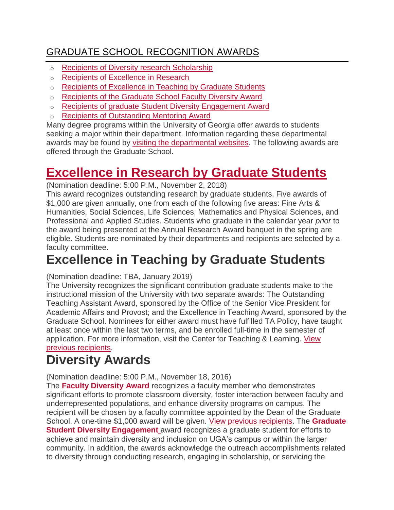### [GRADUATE SCHOOL RECOGNITION AWARDS](https://gradweb01.cc.uga.edu/index.php/current-students/financial-information/)

- o [Recipients of Diversity research Scholarship](http://grad.uga.edu/index.php/current-students/financial-information/graduate-school-recognition-awards/diversity-research-scholarship/)
- o [Recipients of Excellence in Research](http://grad.uga.edu/index.php/current-students/financial-information/graduate-school-recognition-awards/recipients-of-excellence-in-research/)
- o [Recipients of Excellence in Teaching by Graduate Students](http://grad.uga.edu/index.php/current-students/financial-information/graduate-school-recognition-awards/excellence-in-teaching-by-graduate-students/)
- o [Recipients of the Graduate School Faculty Diversity Award](http://grad.uga.edu/index.php/current-students/financial-information/graduate-school-recognition-awards/graduate-school-faculty-diversity-award/)
- o [Recipients of graduate Student Diversity Engagement Award](http://grad.uga.edu/index.php/current-students/financial-information/graduate-school-recognition-awards/graduate-student-diversity-engagement-award/)
- o [Recipients of Outstanding Mentoring Award](http://grad.uga.edu/index.php/current-students/financial-information/graduate-school-recognition-awards/outstanding-mentoring-award/)

Many degree programs within the University of Georgia offer awards to students seeking a major within their department. Information regarding these departmental awards may be found by [visiting the departmental websites.](http://grad.uga.edu/index.php/current-students/financial-information/graduate-school-based-financial-assistance/funding-from-departments-and-colleges/) The following awards are offered through the Graduate School.

## **[Excellence in Research by Graduate Students](http://grad.uga.edu/wp-content/uploads/2017/09/2017-Excellence-in-Research-Announcement.pdf)**

(Nomination deadline: 5:00 P.M., November 2, 2018)

This award recognizes outstanding research by graduate students. Five awards of \$1,000 are given annually, one from each of the following five areas: Fine Arts & Humanities, Social Sciences, Life Sciences, Mathematics and Physical Sciences, and Professional and Applied Studies. Students who graduate in the calendar year *prior* to the award being presented at the Annual Research Award banquet in the spring are eligible. Students are nominated by their departments and recipients are selected by a faculty committee.

## **Excellence in Teaching by Graduate Students**

#### (Nomination deadline: TBA, January 2019)

The University recognizes the significant contribution graduate students make to the instructional mission of the University with two separate awards: The Outstanding Teaching Assistant Award, sponsored by the Office of the Senior Vice President for Academic Affairs and Provost; and the Excellence in Teaching Award, sponsored by the Graduate School. Nominees for either award must have fulfilled TA Policy, have taught at least once within the last two terms, and be enrolled full-time in the semester of application. For more information, visit the Center for Teaching & Learning. View [previous recipients.](http://grad.uga.edu/index.php/current-students/financial-information/graduate-school-recognition-awards/excellence-in-teaching-by-graduate-students/)

# **Diversity Awards**

(Nomination deadline: 5:00 P.M., November 18, 2016)

The **Faculty [Diversity](http://grad.uga.edu/wp-content/uploads/2017/09/2017-Faculty-Diversity-Award-Announcement.pdf) Award** recognizes a faculty member who demonstrates significant efforts to promote classroom diversity, foster interaction between faculty and underrepresented populations, and enhance diversity programs on campus. The recipient will be chosen by a faculty committee appointed by the Dean of the Graduate School. A one-time \$1,000 award will be given. [View previous recipients.](http://grad.uga.edu/index.php/current-students/financial-information/graduate-school-recognition-awards/graduate-school-faculty-diversity-award/) The **[Graduate](http://grad.uga.edu/wp-content/uploads/2017/09/2017-Diversity-Engagement-Award-Announcement.pdf) Student Diversity [Engagement](http://grad.uga.edu/wp-content/uploads/2017/09/2017-Diversity-Engagement-Award-Announcement.pdf)** award recognizes a graduate student for efforts to achieve and maintain diversity and inclusion on UGA's campus or within the larger community. In addition, the awards acknowledge the outreach accomplishments related to diversity through conducting research, engaging in scholarship, or servicing the